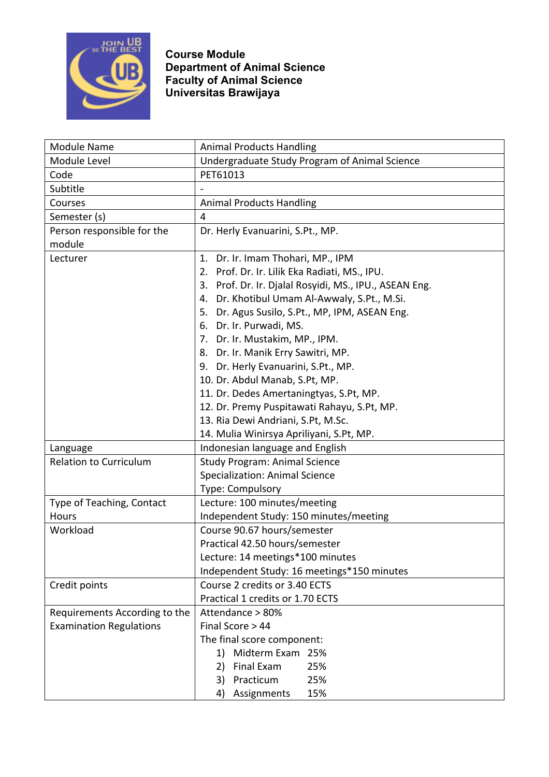

| <b>Module Name</b>             | <b>Animal Products Handling</b>                           |
|--------------------------------|-----------------------------------------------------------|
| Module Level                   | Undergraduate Study Program of Animal Science             |
| Code                           | PET61013                                                  |
| Subtitle                       |                                                           |
| Courses                        | <b>Animal Products Handling</b>                           |
| Semester (s)                   | $\overline{4}$                                            |
| Person responsible for the     | Dr. Herly Evanuarini, S.Pt., MP.                          |
| module                         |                                                           |
| Lecturer                       | Dr. Ir. Imam Thohari, MP., IPM<br>1.                      |
|                                | 2. Prof. Dr. Ir. Lilik Eka Radiati, MS., IPU.             |
|                                | Prof. Dr. Ir. Djalal Rosyidi, MS., IPU., ASEAN Eng.<br>3. |
|                                | Dr. Khotibul Umam Al-Awwaly, S.Pt., M.Si.<br>4.           |
|                                | 5. Dr. Agus Susilo, S.Pt., MP, IPM, ASEAN Eng.            |
|                                | 6. Dr. Ir. Purwadi, MS.                                   |
|                                | 7. Dr. Ir. Mustakim, MP., IPM.                            |
|                                | 8. Dr. Ir. Manik Erry Sawitri, MP.                        |
|                                | 9. Dr. Herly Evanuarini, S.Pt., MP.                       |
|                                | 10. Dr. Abdul Manab, S.Pt, MP.                            |
|                                | 11. Dr. Dedes Amertaningtyas, S.Pt, MP.                   |
|                                | 12. Dr. Premy Puspitawati Rahayu, S.Pt, MP.               |
|                                | 13. Ria Dewi Andriani, S.Pt, M.Sc.                        |
|                                | 14. Mulia Winirsya Apriliyani, S.Pt, MP.                  |
| Language                       | Indonesian language and English                           |
| <b>Relation to Curriculum</b>  | <b>Study Program: Animal Science</b>                      |
|                                | <b>Specialization: Animal Science</b>                     |
|                                | Type: Compulsory                                          |
| Type of Teaching, Contact      | Lecture: 100 minutes/meeting                              |
| Hours                          | Independent Study: 150 minutes/meeting                    |
| Workload                       | Course 90.67 hours/semester                               |
|                                | Practical 42.50 hours/semester                            |
|                                | Lecture: 14 meetings*100 minutes                          |
|                                | Independent Study: 16 meetings*150 minutes                |
| Credit points                  | Course 2 credits or 3.40 ECTS                             |
|                                | Practical 1 credits or 1.70 ECTS                          |
| Requirements According to the  | Attendance > 80%                                          |
| <b>Examination Regulations</b> | Final Score > 44                                          |
|                                | The final score component:                                |
|                                | Midterm Exam 25%<br>1)                                    |
|                                | Final Exam<br>25%<br>2)                                   |
|                                | Practicum<br>3)<br>25%                                    |
|                                | 15%<br>Assignments<br>4)                                  |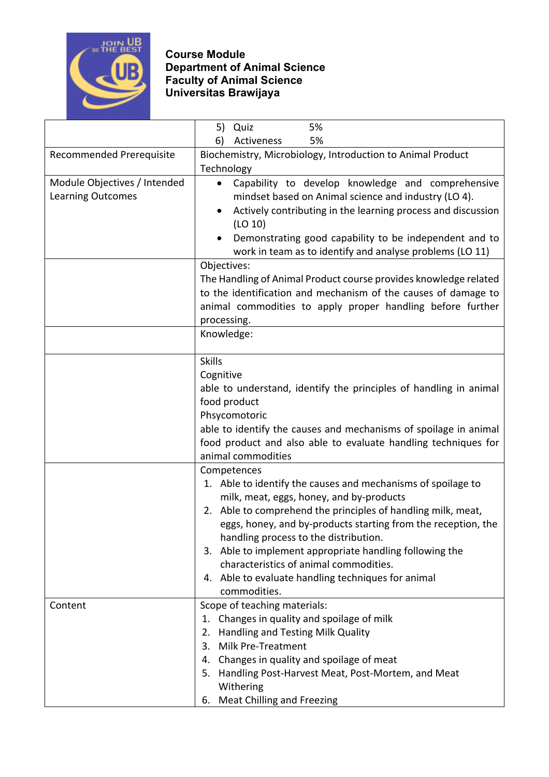

|                              | 5%<br>5)<br>Quiz                                                          |
|------------------------------|---------------------------------------------------------------------------|
|                              | 6)<br>Activeness<br>5%                                                    |
| Recommended Prerequisite     | Biochemistry, Microbiology, Introduction to Animal Product                |
|                              | Technology                                                                |
| Module Objectives / Intended | Capability to develop knowledge and comprehensive<br>$\bullet$            |
| <b>Learning Outcomes</b>     | mindset based on Animal science and industry (LO 4).                      |
|                              | Actively contributing in the learning process and discussion<br>$\bullet$ |
|                              | (LO 10)                                                                   |
|                              | Demonstrating good capability to be independent and to                    |
|                              | work in team as to identify and analyse problems (LO 11)                  |
|                              | Objectives:                                                               |
|                              | The Handling of Animal Product course provides knowledge related          |
|                              | to the identification and mechanism of the causes of damage to            |
|                              | animal commodities to apply proper handling before further                |
|                              | processing.                                                               |
|                              | Knowledge:                                                                |
|                              | <b>Skills</b>                                                             |
|                              | Cognitive                                                                 |
|                              | able to understand, identify the principles of handling in animal         |
|                              | food product                                                              |
|                              | Phsycomotoric                                                             |
|                              | able to identify the causes and mechanisms of spoilage in animal          |
|                              | food product and also able to evaluate handling techniques for            |
|                              | animal commodities                                                        |
|                              | Competences                                                               |
|                              | 1. Able to identify the causes and mechanisms of spoilage to              |
|                              | milk, meat, eggs, honey, and by-products                                  |
|                              | 2. Able to comprehend the principles of handling milk, meat,              |
|                              | eggs, honey, and by-products starting from the reception, the             |
|                              | handling process to the distribution.                                     |
|                              | 3. Able to implement appropriate handling following the                   |
|                              | characteristics of animal commodities.                                    |
|                              | 4. Able to evaluate handling techniques for animal                        |
|                              | commodities.                                                              |
| Content                      | Scope of teaching materials:                                              |
|                              | Changes in quality and spoilage of milk<br>1.                             |
|                              | Handling and Testing Milk Quality<br>2.                                   |
|                              | 3.<br>Milk Pre-Treatment                                                  |
|                              | Changes in quality and spoilage of meat<br>4.                             |
|                              | Handling Post-Harvest Meat, Post-Mortem, and Meat<br>5.                   |
|                              | Withering                                                                 |
|                              | <b>Meat Chilling and Freezing</b><br>6.                                   |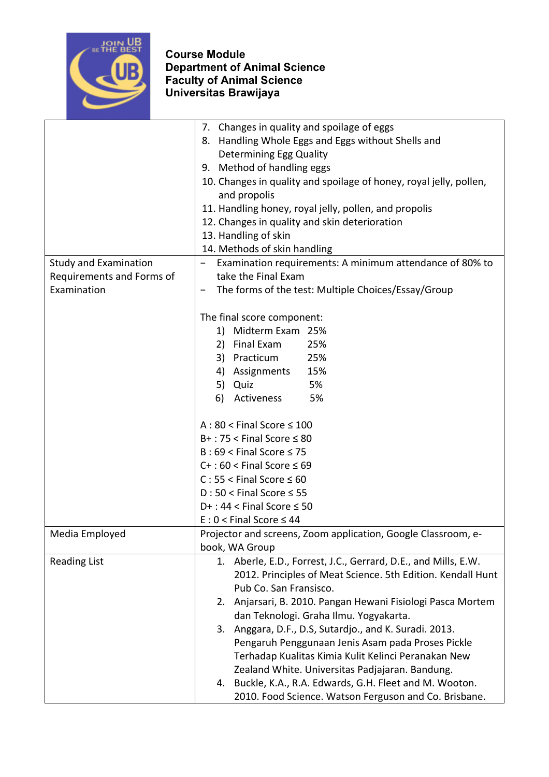

|                              | Changes in quality and spoilage of eggs<br>7.                      |
|------------------------------|--------------------------------------------------------------------|
|                              | 8. Handling Whole Eggs and Eggs without Shells and                 |
|                              | <b>Determining Egg Quality</b>                                     |
|                              | 9. Method of handling eggs                                         |
|                              | 10. Changes in quality and spoilage of honey, royal jelly, pollen, |
|                              | and propolis                                                       |
|                              |                                                                    |
|                              | 11. Handling honey, royal jelly, pollen, and propolis              |
|                              | 12. Changes in quality and skin deterioration                      |
|                              | 13. Handling of skin                                               |
|                              | 14. Methods of skin handling                                       |
| <b>Study and Examination</b> | Examination requirements: A minimum attendance of 80% to           |
| Requirements and Forms of    | take the Final Exam                                                |
| Examination                  | The forms of the test: Multiple Choices/Essay/Group                |
|                              |                                                                    |
|                              | The final score component:                                         |
|                              | Midterm Exam 25%<br>1)                                             |
|                              | 2) Final Exam<br>25%                                               |
|                              | 3) Practicum<br>25%                                                |
|                              | 4) Assignments<br>15%                                              |
|                              | 5%<br>5) Quiz                                                      |
|                              | 6)<br>Activeness<br>5%                                             |
|                              |                                                                    |
|                              | $A:80 <$ Final Score $\leq 100$                                    |
|                              | $B+$ : 75 < Final Score $\leq 80$                                  |
|                              | $B:69 <$ Final Score $\leq 75$                                     |
|                              | $C+$ : 60 < Final Score $\leq 69$                                  |
|                              | $C: 55 <$ Final Score $\leq 60$                                    |
|                              | $D:50 <$ Final Score $\leq 55$                                     |
|                              | $D+$ : 44 < Final Score $\leq$ 50                                  |
|                              | $E: 0 <$ Final Score $\leq 44$                                     |
| Media Employed               | Projector and screens, Zoom application, Google Classroom, e-      |
|                              | book, WA Group                                                     |
| <b>Reading List</b>          | 1. Aberle, E.D., Forrest, J.C., Gerrard, D.E., and Mills, E.W.     |
|                              | 2012. Principles of Meat Science. 5th Edition. Kendall Hunt        |
|                              | Pub Co. San Fransisco.                                             |
|                              | 2. Anjarsari, B. 2010. Pangan Hewani Fisiologi Pasca Mortem        |
|                              |                                                                    |
|                              | dan Teknologi. Graha Ilmu. Yogyakarta.                             |
|                              | Anggara, D.F., D.S, Sutardjo., and K. Suradi. 2013.<br>3.          |
|                              | Pengaruh Penggunaan Jenis Asam pada Proses Pickle                  |
|                              | Terhadap Kualitas Kimia Kulit Kelinci Peranakan New                |
|                              | Zealand White. Universitas Padjajaran. Bandung.                    |
|                              | 4. Buckle, K.A., R.A. Edwards, G.H. Fleet and M. Wooton.           |
|                              | 2010. Food Science. Watson Ferguson and Co. Brisbane.              |